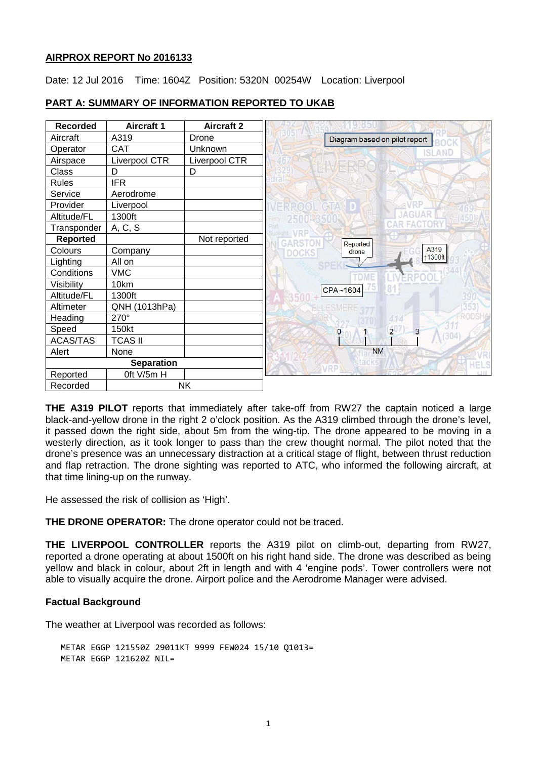## **AIRPROX REPORT No 2016133**

Date: 12 Jul 2016 Time: 1604Z Position: 5320N 00254W Location: Liverpool

| <b>Recorded</b>   | <b>Aircraft 1</b> | <b>Aircraft 2</b> |              |                               |                 |
|-------------------|-------------------|-------------------|--------------|-------------------------------|-----------------|
| Aircraft          | A319              | Drone             |              | Diagram based on pilot report |                 |
| Operator          | <b>CAT</b>        | Unknown           |              |                               | <b>ISLAND</b>   |
| Airspace          | Liverpool CTR     | Liverpool CTR     |              |                               |                 |
| Class             | D                 | D                 |              |                               |                 |
| <b>Rules</b>      | <b>IFR</b>        |                   |              |                               |                 |
| Service           | Aerodrome         |                   |              |                               |                 |
| Provider          | Liverpool         |                   |              |                               |                 |
| Altitude/FL       | 1300ft            |                   |              |                               |                 |
| Transponder       | A, C, S           |                   |              |                               |                 |
| <b>Reported</b>   |                   | Not reported      | GARSTON      | Reported                      |                 |
| Colours           | Company           |                   | <b>DOCKS</b> | drone                         | A319            |
| Lighting          | All on            |                   |              |                               | 1300ft          |
| Conditions        | <b>VMC</b>        |                   |              | TDME                          |                 |
| Visibility        | 10km              |                   |              | CPA~1604                      | 8 <sup>′</sup>  |
| Altitude/FL       | 1300ft            |                   |              |                               |                 |
| Altimeter         | QNH (1013hPa)     |                   |              | <b>ELLESMERE</b>              |                 |
| Heading           | 270°              |                   |              |                               | 414             |
| Speed             | 150kt             |                   |              | 0                             | $2^{\mid}$<br>3 |
| <b>ACAS/TAS</b>   | <b>TCAS II</b>    |                   |              |                               |                 |
| Alert             | None              |                   |              | <b>NM</b>                     |                 |
| <b>Separation</b> |                   |                   |              |                               |                 |
| Reported          | Oft V/5m H        |                   |              |                               |                 |
| Recorded          |                   | <b>NK</b>         |              |                               |                 |

# **PART A: SUMMARY OF INFORMATION REPORTED TO UKAB**

**THE A319 PILOT** reports that immediately after take-off from RW27 the captain noticed a large black-and-yellow drone in the right 2 o'clock position. As the A319 climbed through the drone's level, it passed down the right side, about 5m from the wing-tip. The drone appeared to be moving in a westerly direction, as it took longer to pass than the crew thought normal. The pilot noted that the drone's presence was an unnecessary distraction at a critical stage of flight, between thrust reduction and flap retraction. The drone sighting was reported to ATC, who informed the following aircraft, at that time lining-up on the runway.

He assessed the risk of collision as 'High'.

**THE DRONE OPERATOR:** The drone operator could not be traced.

**THE LIVERPOOL CONTROLLER** reports the A319 pilot on climb-out, departing from RW27, reported a drone operating at about 1500ft on his right hand side. The drone was described as being yellow and black in colour, about 2ft in length and with 4 'engine pods'. Tower controllers were not able to visually acquire the drone. Airport police and the Aerodrome Manager were advised.

## **Factual Background**

The weather at Liverpool was recorded as follows:

METAR EGGP 121550Z 29011KT 9999 FEW024 15/10 Q1013= METAR EGGP 121620Z NIL=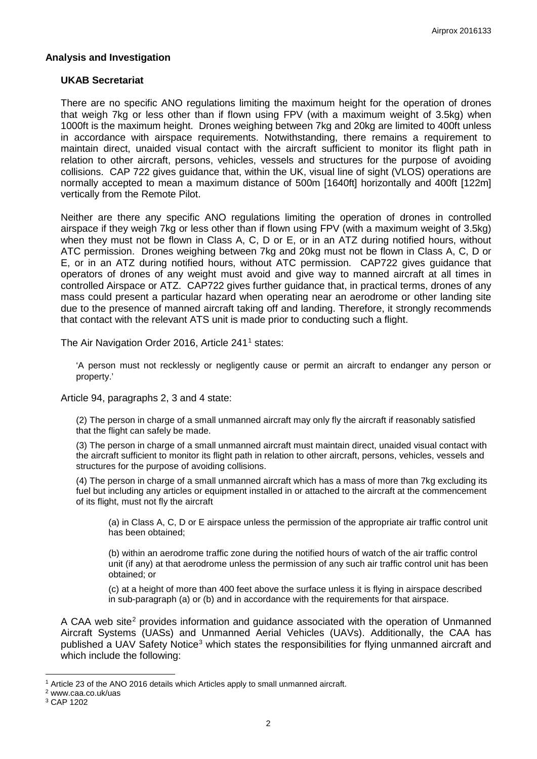## **Analysis and Investigation**

### **UKAB Secretariat**

There are no specific ANO regulations limiting the maximum height for the operation of drones that weigh 7kg or less other than if flown using FPV (with a maximum weight of 3.5kg) when 1000ft is the maximum height. Drones weighing between 7kg and 20kg are limited to 400ft unless in accordance with airspace requirements. Notwithstanding, there remains a requirement to maintain direct, unaided visual contact with the aircraft sufficient to monitor its flight path in relation to other aircraft, persons, vehicles, vessels and structures for the purpose of avoiding collisions. CAP 722 gives guidance that, within the UK, visual line of sight (VLOS) operations are normally accepted to mean a maximum distance of 500m [1640ft] horizontally and 400ft [122m] vertically from the Remote Pilot.

Neither are there any specific ANO regulations limiting the operation of drones in controlled airspace if they weigh 7kg or less other than if flown using FPV (with a maximum weight of 3.5kg) when they must not be flown in Class A, C, D or E, or in an ATZ during notified hours, without ATC permission. Drones weighing between 7kg and 20kg must not be flown in Class A, C, D or E, or in an ATZ during notified hours, without ATC permission. CAP722 gives guidance that operators of drones of any weight must avoid and give way to manned aircraft at all times in controlled Airspace or ATZ. CAP722 gives further guidance that, in practical terms, drones of any mass could present a particular hazard when operating near an aerodrome or other landing site due to the presence of manned aircraft taking off and landing. Therefore, it strongly recommends that contact with the relevant ATS unit is made prior to conducting such a flight.

The Air Navigation Order 20[1](#page-1-0)6, Article 241<sup>1</sup> states:

'A person must not recklessly or negligently cause or permit an aircraft to endanger any person or property.'

Article 94, paragraphs 2, 3 and 4 state:

(2) The person in charge of a small unmanned aircraft may only fly the aircraft if reasonably satisfied that the flight can safely be made.

(3) The person in charge of a small unmanned aircraft must maintain direct, unaided visual contact with the aircraft sufficient to monitor its flight path in relation to other aircraft, persons, vehicles, vessels and structures for the purpose of avoiding collisions.

(4) The person in charge of a small unmanned aircraft which has a mass of more than 7kg excluding its fuel but including any articles or equipment installed in or attached to the aircraft at the commencement of its flight, must not fly the aircraft

(a) in Class A, C, D or E airspace unless the permission of the appropriate air traffic control unit has been obtained;

(b) within an aerodrome traffic zone during the notified hours of watch of the air traffic control unit (if any) at that aerodrome unless the permission of any such air traffic control unit has been obtained; or

(c) at a height of more than 400 feet above the surface unless it is flying in airspace described in sub-paragraph (a) or (b) and in accordance with the requirements for that airspace.

A CAA web site<sup>[2](#page-1-1)</sup> provides information and quidance associated with the operation of Unmanned Aircraft Systems (UASs) and Unmanned Aerial Vehicles (UAVs). Additionally, the CAA has published a UAV Safety Notice<sup>[3](#page-1-2)</sup> which states the responsibilities for flying unmanned aircraft and which include the following:

 $\overline{\phantom{a}}$ 

<span id="page-1-0"></span><sup>&</sup>lt;sup>1</sup> Article 23 of the ANO 2016 details which Articles apply to small unmanned aircraft.

<span id="page-1-1"></span><sup>2</sup> www.caa.co.uk/uas

<span id="page-1-2"></span><sup>3</sup> CAP 1202